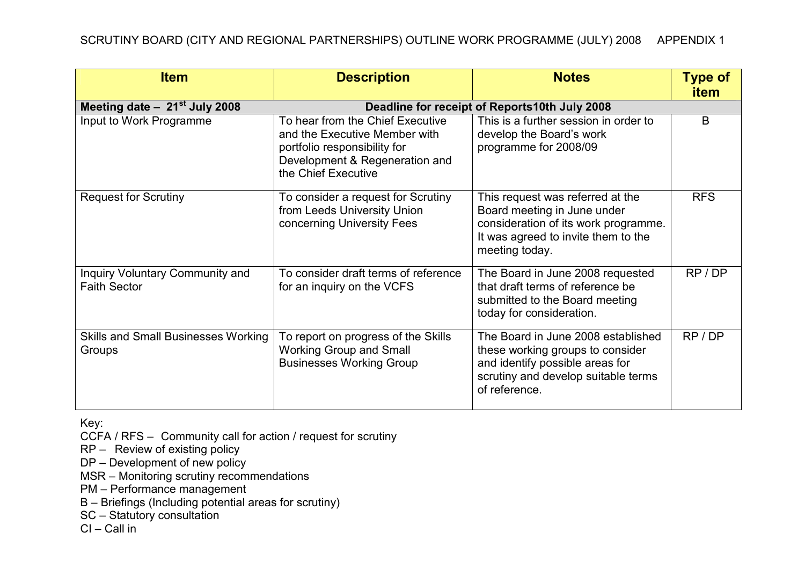| <b>Item</b>                                            | <b>Description</b>                                                                                                                                         | <b>Notes</b>                                                                                                                                                      | <b>Type of</b><br><b>item</b> |  |
|--------------------------------------------------------|------------------------------------------------------------------------------------------------------------------------------------------------------------|-------------------------------------------------------------------------------------------------------------------------------------------------------------------|-------------------------------|--|
| Meeting date $-21st$ July 2008                         | Deadline for receipt of Reports10th July 2008                                                                                                              |                                                                                                                                                                   |                               |  |
| Input to Work Programme                                | To hear from the Chief Executive<br>and the Executive Member with<br>portfolio responsibility for<br>Development & Regeneration and<br>the Chief Executive | This is a further session in order to<br>develop the Board's work<br>programme for 2008/09                                                                        | B                             |  |
| <b>Request for Scrutiny</b>                            | To consider a request for Scrutiny<br>from Leeds University Union<br>concerning University Fees                                                            | This request was referred at the<br>Board meeting in June under<br>consideration of its work programme.<br>It was agreed to invite them to the<br>meeting today.  | <b>RFS</b>                    |  |
| Inquiry Voluntary Community and<br><b>Faith Sector</b> | To consider draft terms of reference<br>for an inquiry on the VCFS                                                                                         | The Board in June 2008 requested<br>that draft terms of reference be<br>submitted to the Board meeting<br>today for consideration.                                | RP/DP                         |  |
| <b>Skills and Small Businesses Working</b><br>Groups   | To report on progress of the Skills<br><b>Working Group and Small</b><br><b>Businesses Working Group</b>                                                   | The Board in June 2008 established<br>these working groups to consider<br>and identify possible areas for<br>scrutiny and develop suitable terms<br>of reference. | RP/DP                         |  |

Key:

CCFA / RFS – Community call for action / request for scrutiny

RP – Review of existing policy

DP – Development of new policy

MSR – Monitoring scrutiny recommendations

PM – Performance management

B – Briefings (Including potential areas for scrutiny)

SC – Statutory consultation

CI – Call in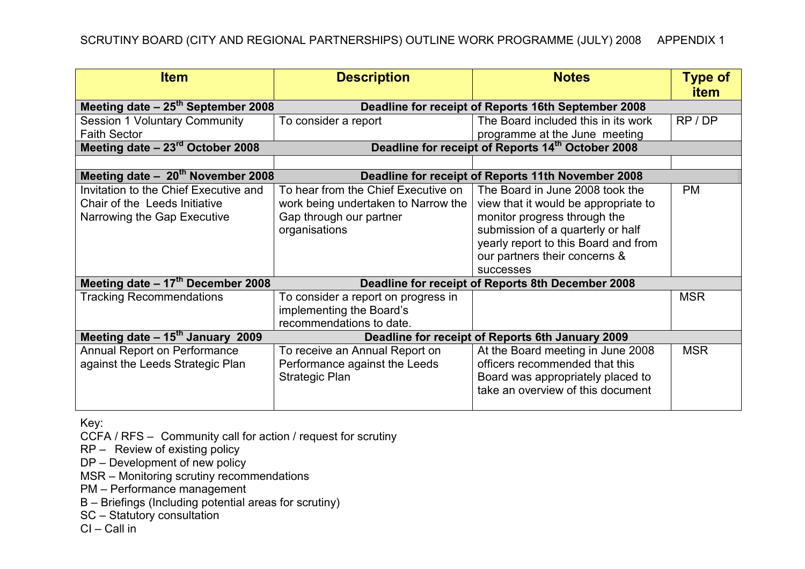| <b>Item</b>                                    | <b>Description</b>                                                                       | <b>Notes</b>                         | <b>Type of</b> |  |  |
|------------------------------------------------|------------------------------------------------------------------------------------------|--------------------------------------|----------------|--|--|
|                                                |                                                                                          |                                      | <b>item</b>    |  |  |
| Meeting date - 25 <sup>th</sup> September 2008 | Deadline for receipt of Reports 16th September 2008                                      |                                      |                |  |  |
| <b>Session 1 Voluntary Community</b>           | To consider a report                                                                     | The Board included this in its work  | RP / DP        |  |  |
| <b>Faith Sector</b>                            |                                                                                          | programme at the June meeting        |                |  |  |
| Meeting date $-23rd$ October 2008              | Deadline for receipt of Reports 14 <sup>th</sup> October 2008                            |                                      |                |  |  |
|                                                |                                                                                          |                                      |                |  |  |
| Meeting date $-20^{th}$ November 2008          | Deadline for receipt of Reports 11th November 2008                                       |                                      |                |  |  |
| Invitation to the Chief Executive and          | To hear from the Chief Executive on                                                      | The Board in June 2008 took the      | <b>PM</b>      |  |  |
| Chair of the Leeds Initiative                  | work being undertaken to Narrow the                                                      | view that it would be appropriate to |                |  |  |
| Narrowing the Gap Executive                    | Gap through our partner                                                                  | monitor progress through the         |                |  |  |
|                                                | organisations                                                                            | submission of a quarterly or half    |                |  |  |
|                                                |                                                                                          | yearly report to this Board and from |                |  |  |
|                                                |                                                                                          | our partners their concerns &        |                |  |  |
|                                                |                                                                                          | successes                            |                |  |  |
| Meeting date $-17th$ December 2008             | Deadline for receipt of Reports 8th December 2008                                        |                                      |                |  |  |
| <b>Tracking Recommendations</b>                | To consider a report on progress in                                                      |                                      | <b>MSR</b>     |  |  |
|                                                | implementing the Board's                                                                 |                                      |                |  |  |
|                                                | recommendations to date.                                                                 |                                      |                |  |  |
|                                                | Meeting date $-15^{th}$ January 2009<br>Deadline for receipt of Reports 6th January 2009 |                                      |                |  |  |
| Annual Report on Performance                   | To receive an Annual Report on                                                           | At the Board meeting in June 2008    | <b>MSR</b>     |  |  |
| against the Leeds Strategic Plan               | Performance against the Leeds                                                            | officers recommended that this       |                |  |  |
|                                                | <b>Strategic Plan</b>                                                                    | Board was appropriately placed to    |                |  |  |
|                                                |                                                                                          | take an overview of this document    |                |  |  |
|                                                |                                                                                          |                                      |                |  |  |

Key:

CCFA / RFS – Community call for action / request for scrutiny

RP – Review of existing policy

DP – Development of new policy

MSR – Monitoring scrutiny recommendations

PM – Performance management

B – Briefings (Including potential areas for scrutiny)

SC – Statutory consultation

CI – Call in